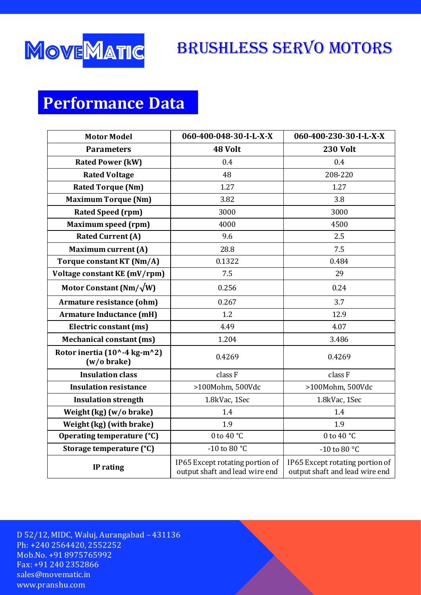

#### Brushless Servo Motors

# **Performance Data**

| <b>Motor Model</b>                          | 060-400-048-30-I-L-X-X                                            | 060-400-230-30-I-L-X-X                                            |
|---------------------------------------------|-------------------------------------------------------------------|-------------------------------------------------------------------|
| <b>Parameters</b>                           | 48 Volt                                                           | <b>230 Volt</b>                                                   |
| <b>Rated Power (kW)</b>                     | 0.4                                                               | 0.4                                                               |
| <b>Rated Voltage</b>                        | 48                                                                | 208-220                                                           |
| <b>Rated Torque (Nm)</b>                    | 1.27                                                              | 1.27                                                              |
| <b>Maximum Torque (Nm)</b>                  | 3.82                                                              | 3.8                                                               |
| <b>Rated Speed (rpm)</b>                    | 3000                                                              | 3000                                                              |
| <b>Maximum speed (rpm)</b>                  | 4000                                                              | 4500                                                              |
| <b>Rated Current (A)</b>                    | 9.6                                                               | 2.5                                                               |
| <b>Maximum current (A)</b>                  | 28.8                                                              | 7.5                                                               |
| Torque constant KT (Nm/A)                   | 0.1322                                                            | 0.484                                                             |
| Voltage constant KE (mV/rpm)                | 7.5                                                               | 29                                                                |
| Motor Constant (Nm/ $\sqrt{W}$ )            | 0.256                                                             | 0.24                                                              |
| Armature resistance (ohm)                   | 0.267                                                             | 3.7                                                               |
| <b>Armature Inductance (mH)</b>             | 1.2                                                               | 12.9                                                              |
| Electric constant (ms)                      | 4.49                                                              | 4.07                                                              |
| <b>Mechanical constant (ms)</b>             | 1.204                                                             | 3.486                                                             |
| Rotor inertia (10^-4 kg-m^2)<br>(w/o brake) | 0.4269                                                            | 0.4269                                                            |
| <b>Insulation class</b>                     | class F                                                           | class F                                                           |
| <b>Insulation resistance</b>                | >100Mohm, 500Vdc                                                  | >100Mohm, 500Vdc                                                  |
| <b>Insulation strength</b>                  | 1.8kVac, 1Sec                                                     | 1.8kVac, 1Sec                                                     |
| Weight (kg) (w/o brake)                     | 1.4                                                               | 1.4                                                               |
| Weight (kg) (with brake)                    | 1.9                                                               | 1.9                                                               |
| Operating temperature (°C)                  | 0 to 40 $^{\circ}$ C                                              | 0 to 40 $^{\circ}$ C                                              |
| Storage temperature (°C)                    | -10 to 80 °C                                                      | -10 to 80 $^{\circ}$ C                                            |
| IP rating                                   | IP65 Except rotating portion of<br>output shaft and lead wire end | IP65 Except rotating portion of<br>output shaft and lead wire end |

D 52/12, MIDC, Waluj, Aurangabad – 431136 Ph: +240 2564420, 2552252 Mob.No. +91 8975765992 Fax: +91 240 2352866 [sales@movematic.in](mailto:sales@movematic.in) www.pranshu.com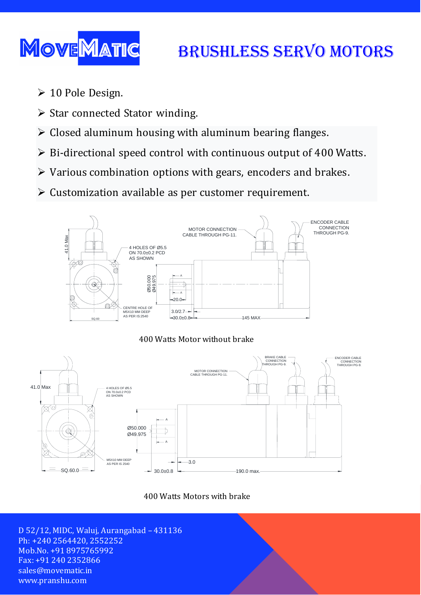

# Brushless Servo Motors

- 10 Pole Design.
- $\triangleright$  Star connected Stator winding.
- $\triangleright$  Closed aluminum housing with aluminum bearing flanges.
- $\triangleright$  Bi-directional speed control with continuous output of 400 Watts.
- $\triangleright$  Various combination options with gears, encoders and brakes.
- $\triangleright$  Customization available as per customer requirement.







400 Watts Motors with brake